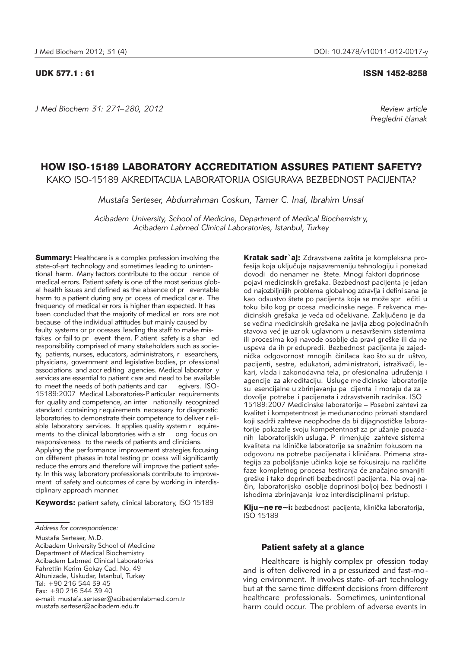*J Med Biochem 31: 271–280, 2012 Review article*

### UDK 577.1 : 61 ISSN 1452-8258

*Pregledni ~lanak*

# HOW ISO-15189 LABORATORY ACCREDITATION ASSURES PATIENT SAFETY?

KAKO ISO-15189 AKREDITACIJA LABORATORIJA OSIGURAVA BEZBEDNOST PACIJENTA?

*Mustafa Serteser, Abdurrahman Coskun, Tamer C. Inal, Ibrahim Unsal*

*Acibadem University, School of Medicine, Department of Medical Biochemistr y, Acibadem Labmed Clinical Laboratories, Istanbul, Turkey*

**Summary:** Healthcare is a complex profession involving the state-of-art technology and sometimes leading to unintentional harm. Many factors contribute to the occur rence of medical errors. Patient safety is one of the most serious global health issues and defined as the absence of pr eventable harm to a patient during any pr ocess of medical car e. The frequency of medical er rors is higher than expected. It has been concluded that the majority of medical er rors are not because of the individual attitudes but mainly caused by faulty systems or pr ocesses leading the staff to make mistakes or fail to pr event them. P atient safety is a shar ed responsibility comprised of many stakeholders such as society, patients, nurses, educators, administrators, r esearchers, physicians, government and legislative bodies, pr ofessional associations and accr editing agencies. Medical laborator y services are essential to patient care and need to be available to meet the needs of both patients and car egivers. ISO-15189:2007 Medical Laboratories-P articular requirements for quality and competence, an inter nationally recognized standard containing r equirements necessary for diagnostic laboratories to demonstrate their competence to deliver r eliable laboratory services. It applies quality system r equirements to the clinical laboratories with a str ong focus on responsiveness to the needs of patients and clinicians. Applying the performance improvement strategies focusing on different phases in total testing pr ocess will significantly reduce the errors and therefore will improve the patient safety. In this way, laboratory professionals contribute to improvement of safety and outcomes of care by working in interdisciplinary approach manner.

Keywords: patient safety, clinical laboratory, ISO 15189

Mustafa Serteser, M.D. Acibadem University School of Medicine Department of Medical Biochemistry Acibadem Labmed Clinical Laboratories Fahrettin Kerim Gokay Cad. No. 49 Altunizade, Uskudar, Istanbul, Turkey Tel: +90 216 544 39 45 Fax: +90 216 544 39 40 e-mail: mustafa.serteser@acibademlabmed.com.tr mustafa.serteser@acibadem.edu.tr

Kratak sadr`aj: Zdravstvena zaštita je kompleksna profesija koja uključuje najsavremeniju tehnologiju i ponekad dovodi do nenamer ne štete. Mnogi faktori doprinose pojavi medicinskih grešaka. Bezbednost pacijenta je jedan od najozbiljnijih problema globalnog zdravlja i defini sana je kao odsustvo štete po pacijenta koja se može spr ečiti u toku bilo kog pr ocesa medicinske nege. F rekvenca me dicinskih grešaka je veća od očekivane. Zaključeno je da se većina medicinskih grešaka ne javlja zbog pojedinačnih stavova već je uzr ok uglavnom u nesavršenim sistemima ili procesima koji navode osoblje da pravi greške ili da ne uspeva da ih pr edupredi. Bezbednost pacijenta je zajednička odgovornost mnogih činilaca kao što su dr uštvo, pacijenti, sestre, edukatori, administratori, istraživači, lekari, vlada i zakonodavna tela, pr ofesionalna udruženja i agencije za akr editaciju. Usluge me dicinske laboratorije su esencijalne u zbrinjavanju pa cijenta i moraju da za dovolje potrebe i pacijenata i zdravstvenih radnika. ISO 15189:2007 Medicinske laboratorije – Posebni zahtevi za kvalitet i kompetentnost je međunarodno priznati standard koji sadrži zahteve neophodne da bi dijagnostičke laboratorije pokazale svoju kompetentnost za pr užanje pouzdanih laboratorijskih usluga. P rimenjuje zahteve sistema kvaliteta na kliničke laboratorije sa snažnim fokusom na odgovoru na potrebe pacijenata i kliničara. Primena strategija za poboljšanje učinka koje se fokusiraju na različite faze kompletnog procesa testiranja će značajno smanjiti greške i tako doprineti bezbednosti pacijenta. Na ovaj način, laboratorijsko osoblje doprinosi boljoj bez bednosti i ishodima zbrinjavanja kroz interdisciplinarni pristup.

Klju~ne re~i: bezbednost pacijenta, klinička laboratorija, ISO 15189

### Patient safety at a glance

Healthcare is highly complex pr ofession today and is often delivered in a pr essurized and fast-mo ving environment. It involves state- of-art technology but at the same time different decisions from different healthcare professionals. Sometimes, unintentional harm could occur. The problem of adverse events in

*Address for correspondence:*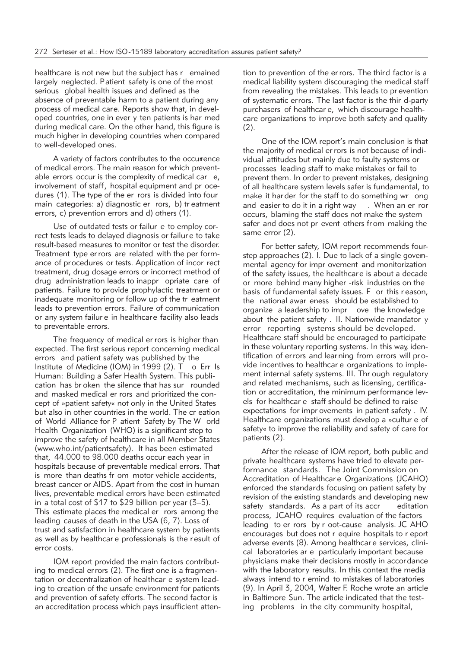healthcare is not new but the subject has r emained largely neglected. Patient safety is one of the most serious global health issues and defined as the absence of preventable harm to a patient during any process of medical care. Reports show that, in developed countries, one in ever y ten patients is har med during medical care. On the other hand, this figure is much higher in developing countries when compared to well-developed ones.

A variety of factors contributes to the occurrence of medical errors. The main reason for which preventable errors occur is the complexity of medical car e, involvement of staff, hospital equipment and pr ocedures (1). The type of the er rors is divided into four main categories: a) diagnostic er rors, b) tr eatment errors, c) prevention errors and d) others (1).

Use of outdated tests or failur e to employ correct tests leads to delayed diagnosis or failur e to take result-based measures to monitor or test the disorder. Treatment type er rors are related with the per formance of procedures or tests. Application of incor rect treatment, drug dosage errors or incorrect method of drug administration leads to inappr opriate care of patients. Failure to provide prophylactic treatment or inadequate monitoring or follow up of the tr eatment leads to prevention errors. Failure of communication or any system failur e in healthcare facility also leads to preventable errors.

The frequency of medical er rors is higher than expected. The first serious report concerning medical errors and patient safety was published by the Institute of Medicine (IOM) in 1999 (2). T o Err Is Human: Building a Safer Health System. This publication has br oken the silence that has sur rounded and masked medical er rors and prioritized the concept of »patient safety« not only in the United States but also in other countries in the world. The cr eation of World Alliance for P atient Safety by The W orld Health Organization (WHO) is a significant step to improve the safety of healthcare in all Member States (www.who.int/patientsafety). It has been estimated that, 44.000 to 98.000 deaths occur each year in hospitals because of preventable medical errors. That is more than deaths fr om motor vehicle accidents, breast cancer or AIDS. Apart from the cost in human lives, preventable medical errors have been estimated in a total cost of \$17 to \$29 billion per year (3–5). This estimate places the medical er rors among the leading causes of death in the USA (6, 7). Loss of trust and satisfaction in healthcare system by patients as well as by healthcar e professionals is the r esult of error costs.

IOM report provided the main factors contributing to medical errors (2). The first one is a fragmentation or decentralization of healthcar e system leading to creation of the unsafe environment for patients and prevention of safety efforts. The second factor is an accreditation process which pays insufficient attention to prevention of the er rors. The third factor is a medical liability system discouraging the medical staff from revealing the mistakes. This leads to pr evention of systematic errors. The last factor is the thir d-party purchasers of healthcar e, which discourage healthcare organizations to improve both safety and quality (2).

One of the IOM report's main conclusion is that the majority of medical er rors is not because of individual attitudes but mainly due to faulty systems or processes leading staff to make mistakes or fail to prevent them. In order to prevent mistakes, designing of all healthcare system levels safer is fundamental, to make it har der for the staff to do something wr ong and easier to do it in a right way . When an er ror occurs, blaming the staff does not make the system safer and does not pr event others from making the same error (2).

For better safety, IOM report recommends fourstep approaches (2). I. Due to lack of a single govemmental agency for impr ovement and monitorization of the safety issues, the healthcare is about a decade or more behind many higher -risk industries on the basis of fundamental safety issues. F or this r eason, the national awar eness should be established to organize a leadership to impr ove the knowledge about the patient safety . II. Nationwide mandator y error reporting systems should be developed. Healthcare staff should be encouraged to participate in these voluntary reporting systems. In this way, identification of errors and learning from errors will provide incentives to healthcar e organizations to implement internal safety systems. III. Thr ough regulatory and related mechanisms, such as licensing, certification or accreditation, the minimum per formance levels for healthcar e staff should be defined to raise expectations for impr ovements in patient safety . IV. Healthcare organizations must develop a »cultur e of safety« to improve the reliability and safety of care for patients (2).

After the release of IOM report, both public and private healthcare systems have tried to elevate performance standards. The Joint Commission on Accreditation of Healthcar e Organizations (JCAHO) enforced the standards focusing on patient safety by revision of the existing standards and developing new safety standards. As a part of its accr editation process, JCAHO requires evaluation of the factors leading to er rors by r oot-cause analysis. JC AHO encourages but does not r equire hospitals to r eport adverse events (8). Among healthcar e services, clinical laboratories ar e particularly important because physicians make their decisions mostly in accordance with the laboratory results. In this context the media always intend to r emind to mistakes of laboratories (9). In April 3, 2004, Walter F. Roche wrote an article in Baltimore Sun. The article indicated that the testing problems in the city community hospital,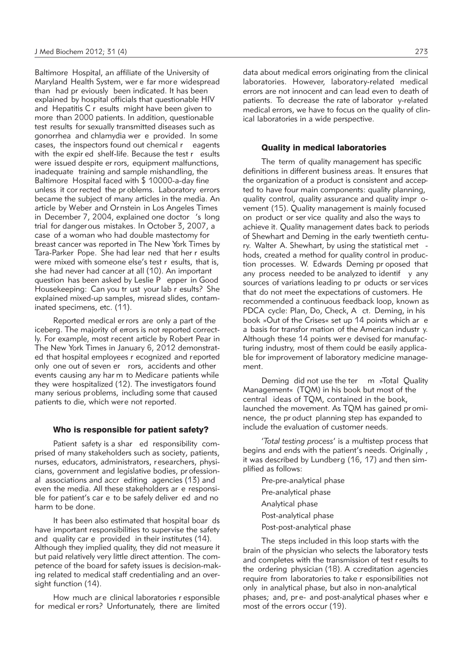Baltimore Hospital, an affiliate of the University of Maryland Health System, wer e far more widespread than had pr eviously been indicated. It has been explained by hospital officials that questionable HIV and Hepatitis C r esults might have been given to more than 2000 patients. In addition, questionable test results for sexually transmitted diseases such as gonorrhea and chlamydia wer e provided. In some cases, the inspectors found out chemical r eagents with the expir ed shelf-life. Because the test r esults were issued despite er rors, equipment malfunctions, inadequate training and sample mishandling, the Baltimore Hospital faced with \$ 10000-a-day fine unless it cor rected the pr oblems. Laboratory errors became the subject of many articles in the media. An article by Weber and Ornstein in Los Angeles Times in December 7, 2004, explained one doctor 's long trial for dangerous mistakes. In October 3, 2007, a case of a woman who had double mastectomy for breast cancer was reported in The New York Times by Tara-Parker Pope. She had lear ned that her r esults were mixed with someone else's test r esults, that is, she had never had cancer at all (10). An important question has been asked by Leslie P epper in Good Housekeeping: Can you tr ust your lab r esults? She explained mixed-up samples, misread slides, contaminated specimens, etc. (11).

Reported medical er rors are only a part of the iceberg. The majority of errors is not reported correctly. For example, most recent article by Robert Pear in The New York Times in January 6, 2012 demonstrated that hospital employees r ecognized and reported only one out of seven er rors, accidents and other events causing any har m to Medicare patients while they were hospitalized (12). The investigators found many serious problems, including some that caused patients to die, which were not reported.

#### Who is responsible for patient safety?

Patient safety is a shar ed responsibility comprised of many stakeholders such as society, patients, nurses, educators, administrators, researchers, physicians, government and legislative bodies, pr ofessional associations and accr editing agencies (13) and even the media. All these stakeholders ar e responsible for patient's car e to be safely deliver ed and no harm to be done.

It has been also estimated that hospital boar ds have important responsibilities to supervise the safety and quality car e provided in their institutes (14). Although they implied quality, they did not measure it but paid relatively very little direct attention. The competence of the board for safety issues is decision-making related to medical staff credentialing and an oversight function (14).

How much are clinical laboratories r esponsible for medical er rors? Unfortunately, there are limited

data about medical errors originating from the clinical laboratories. However, laboratory-related medical errors are not innocent and can lead even to death of patients. To decrease the rate of laborator y-related medical errors, we have to focus on the quality of clinical laboratories in a wide perspective.

### Quality in medical laboratories

The term of quality management has specific definitions in different business areas. It ensures that the organization of a product is consistent and accepted to have four main components: quality planning, quality control, quality assurance and quality impr ovement (15). Quality management is mainly focused on product or ser vice quality and also the ways to achieve it. Quality management dates back to periods of Shewhart and Deming in the early twentieth century. Walter A. Shewhart, by using the statistical met hods, created a method for quality control in production processes. W. Edwards Deming pr oposed that any process needed to be analyzed to identif y any sources of variations leading to pr oducts or ser vices that do not meet the expectations of customers. He recommended a continuous feedback loop, known as PDCA cycle: Plan, Do, Check, A ct. Deming, in his book »Out of the Crises« set up 14 points which ar e a basis for transfor mation of the American industr y. Although these 14 points wer e devised for manufacturing industry, most of them could be easily applicable for improvement of laboratory medicine management.

Deming did not use the ter m »Total Quality Management« (TQM) in his book but most of the central ideas of TQM, contained in the book, launched the movement. As TQM has gained pr ominence, the pr oduct planning step has expanded to include the evaluation of customer needs.

'*Total testing process*' is a multistep process that begins and ends with the patient's needs. Originally , it was described by Lundberg (16, 17) and then simplified as follows:

- Pre-pre-analytical phase
- Pre-analytical phase
- Analytical phase
- Post-analytical phase
- Post-post-analytical phase

The steps included in this loop starts with the brain of the physician who selects the laboratory tests and completes with the transmission of test r esults to the ordering physician (18). A ccreditation agencies require from laboratories to take r esponsibilities not only in analytical phase, but also in non-analytical phases; and, pr e- and post-analytical phases wher e most of the errors occur (19).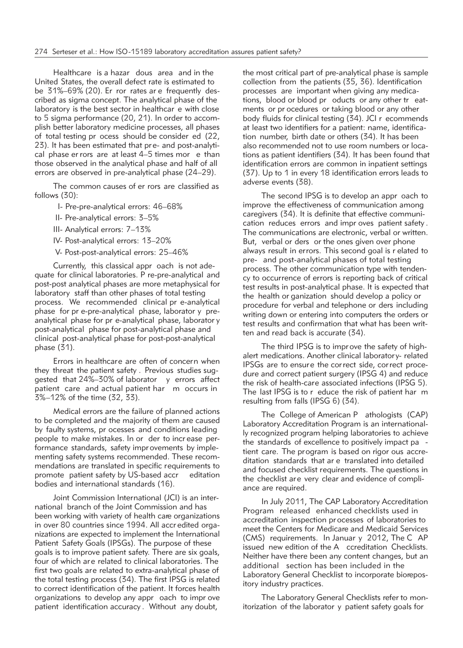Healthcare is a hazar dous area and in the United States, the overall defect rate is estimated to be 31%–69% (20). Er ror rates ar e frequently described as sigma concept. The analytical phase of the laboratory is the best sector in healthcar e with close to 5 sigma performance (20, 21). In order to accomplish better laboratory medicine processes, all phases of total testing pr ocess should be consider ed (22, 23). It has been estimated that pre- and post-analytical phase er rors are at least 4–5 times mor e than those observed in the analytical phase and half of all errors are observed in pre-analytical phase (24–29).

The common causes of er rors are classified as follows (30):

- I- Pre-pre-analytical errors: 46–68%
- II- Pre-analytical errors: 3–5%
- III- Analytical errors: 7–13%
- IV- Post-analytical errors: 13–20%
- V- Post-post-analytical errors: 25–46%

Currently, this classical appr oach is not adequate for clinical laboratories. P re-pre-analytical and post-post analytical phases are more metaphysical for laboratory staff than other phases of total testing process. We recommended clinical pr e-analytical phase for pr e-pre-analytical phase, laborator y preanalytical phase for pr e-analytical phase, laborator y post-analytical phase for post-analytical phase and clinical post-analytical phase for post-post-analytical phase (31).

Errors in healthcare are often of concern when they threat the patient safety . Previous studies suggested that 24%–30% of laborator y errors affect patient care and actual patient har m occurs in 3%–12% of the time (32, 33).

Medical errors are the failure of planned actions to be completed and the majority of them are caused by faulty systems, pr ocesses and conditions leading people to make mistakes. In or der to incr ease performance standards, safety impr ovements by implementing safety systems recommended. These recommendations are translated in specific requirements to promote patient safety by US-based accr editation bodies and international standards (16).

Joint Commission International (JCI) is an international branch of the Joint Commission and has been working with variety of health care organizations in over 80 countries since 1994. All accredited organizations are expected to implement the International Patient Safety Goals (IPSGs). The purpose of these goals is to improve patient safety. There are six goals, four of which are related to clinical laboratories. The first two goals are related to extra-analytical phase of the total testing process (34). The first IPSG is related to correct identification of the patient. It forces health organizations to develop any appr oach to impr ove patient identification accuracy . Without any doubt,

the most critical part of pre-analytical phase is sample collection from the patients (35, 36). Identification processes are important when giving any medications, blood or blood pr oducts or any other tr eatments or pr ocedures or taking blood or any other body fluids for clinical testing (34). JCI r ecommends at least two identifiers for a patient: name, identification number, birth date or others (34). It has been also recommended not to use room numbers or locations as patient identifiers (34). It has been found that identification errors are common in inpatient settings (37). Up to 1 in every 18 identification errors leads to adverse events (38).

The second IPSG is to develop an appr oach to improve the effectiveness of communication among caregivers (34). It is definite that effective communication reduces errors and impr oves patient safety . The communications are electronic, verbal or written. But, verbal or ders or the ones given over phone always result in errors. This second goal is r elated to pre- and post-analytical phases of total testing process. The other communication type with tendency to occurrence of errors is reporting back of critical test results in post-analytical phase. It is expected that the health or ganization should develop a policy or procedure for verbal and telephone or ders including writing down or entering into computers the orders or test results and confirmation that what has been written and read back is accurate (34).

The third IPSG is to impr ove the safety of highalert medications. Another clinical laborator y- related IPSGs are to ensure the correct side, correct procedure and correct patient surgery (IPSG 4) and reduce the risk of health-care associated infections (IPSG 5). The last IPSG is to r educe the risk of patient har m resulting from falls (IPSG 6) (34).

The College of American P athologists (CAP) Laboratory Accreditation Program is an internationally recognized program helping laboratories to achieve the standards of excellence to positively impact pa tient care. The program is based on rigor ous accreditation standards that ar e translated into detailed and focused checklist requirements. The questions in the checklist are very clear and evidence of compliance are required.

In July 2011, The CAP Laboratory Accreditation Program released enhanced checklists used in accreditation inspection pr ocesses of laboratories to meet the Centers for Medicare and Medicaid Services (CMS) requirements. In Januar y 2012, The C AP issued new edition of the A ccreditation Checklists. Neither have there been any content changes, but an additional section has been included in the Laboratory General Checklist to incorporate biorepository industry practices.

The Laboratory General Checklists refer to monitorization of the laborator y patient safety goals for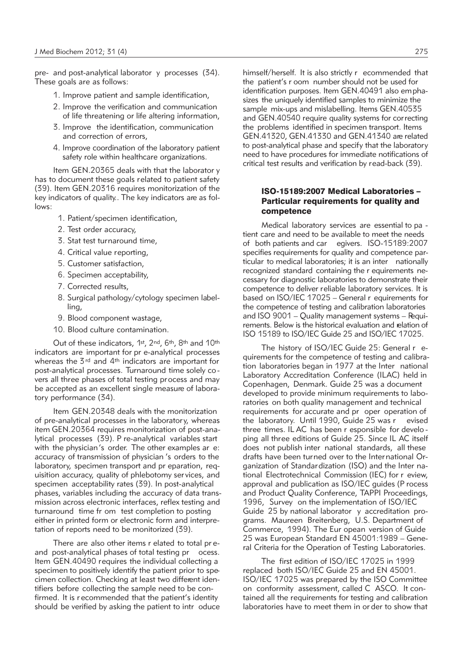pre- and post-analytical laborator y processes (34). These goals are as follows:

- 1. Improve patient and sample identification,
- 2. Improve the verification and communication of life threatening or life altering information,
- 3. Improve the identification, communication and correction of errors,
- 4. Improve coordination of the laboratory patient safety role within healthcare organizations.

Item GEN.20365 deals with that the laborator y has to document these goals related to patient safety (39). Item GEN.20316 requires monitorization of the key indicators of quality.. The key indicators are as follows:

- 1. Patient/specimen identification,
- 2. Test order accuracy,
- 3. Stat test turnaround time,
- 4. Critical value reporting,
- 5. Customer satisfaction,
- 6. Specimen acceptability,
- 7. Corrected results,
- 8. Surgical pathology/cytology specimen labelling,
- 9. Blood component wastage,
- 10. Blood culture contamination.

Out of these indicators, 1st, 2nd, 6th, 8th and 10th indicators are important for pr e-analytical processes whereas the 3<sup>rd</sup> and 4<sup>th</sup> indicators are important for post-analytical processes. Turnaround time solely co vers all three phases of total testing process and may be accepted as an excellent single measure of laboratory performance (34).

Item GEN.20348 deals with the monitorization of pre-analytical processes in the laborator y, whereas item GEN.20364 requires monitorization of post-analytical processes (39). P re-analytical variables start with the physician's order. The other examples ar e: accuracy of transmission of physician 's orders to the laboratory, specimen transport and pr eparation, requisition accuracy, quality of phlebotomy ser vices, and specimen acceptability rates (39). In post-analytical phases, variables including the accuracy of data transmission across electronic interfaces, reflex testing and turnaround time fr om test completion to posting either in printed form or electronic form and interpretation of reports need to be monitorized (39).

There are also other items r elated to total pr eand post-analytical phases of total testing pr ocess. Item GEN.40490 requires the individual collecting a specimen to positively identify the patient prior to specimen collection. Checking at least two different identifiers before collecting the sample need to be confirmed. It is r ecommended that the patient's identity should be verified by asking the patient to intr oduce himself/herself. It is also strictly r ecommended that the patient's r oom number should not be used for identification purposes. Item GEN.40491 also emphasizes the uniquely identified samples to minimize the sample mix-ups and mislabelling. Items GEN.40535 and GEN.40540 require quality systems for correcting the problems identified in specimen transport. Items GEN.41320, GEN.41330 and GEN.41340 are related to post-analytical phase and specify that the laboratory need to have procedures for immediate notifications of critical test results and verification by read-back (39).

## ISO-15189:2007 Medical Laboratories – Particular requirements for quality and competence

Medical laboratory services are essential to pa tient care and need to be available to meet the needs of both patients and car egivers. ISO-15189:2007 specifies requirements for quality and competence particular to medical laboratories; it is an inter nationally recognized standard containing the r equirements necessary for diagnostic laboratories to demonstrate their competence to deliver reliable laboratory services. It is based on ISO/IEC 17025 – General r equirements for the competence of testing and calibration laboratories and ISO 9001 – Quality management systems – Require ments. Below is the historical evaluation and relation of ISO 15189 to ISO/IEC Guide 25 and ISO/IEC 17025.

The history of ISO/IEC Guide 25: General r equirements for the competence of testing and calibration laboratories began in 1977 at the Inter national Laboratory Accreditation Conference (ILAC) held in Copenhagen, Denmark. Guide 25 was a document developed to provide minimum requirements to laboratories on both quality management and technical requirements for accurate and pr oper operation of the laboratory. Until 1990, Guide 25 was r evised three times. IL AC has been r esponsible for develo ping all three editions of Guide 25. Since IL AC itself does not publish inter national standards, all these drafts have been turned over to the International Organization of Standardization (ISO) and the Inter na tional Electrotechnical Commission (IEC) for r eview, approval and publication as ISO/IEC guides (P rocess and Product Quality Conference, TAPPI Proceedings, 1996, Survey on the implementation of ISO/IEC Guide 25 by national laborator y accreditation programs. Maureen Breitenberg, U.S. Department of Com merce, 1994). The Eur opean version of Guide  $25$  was European Standard EN 45001:1989 - General Criteria for the Operation of Testing Laboratories.

The first edition of ISO/IEC 17025 in 1999 replaced both ISO/IEC Guide 25 and EN 45001. ISO/IEC 17025 was prepared by the ISO Committee on conformity assessment, called C ASCO. It contained all the requirements for testing and calibration laboratories have to meet them in or der to show that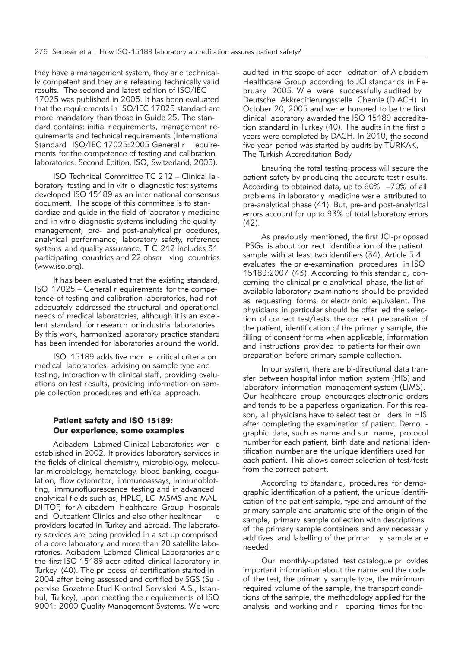they have a management system, they ar e technically competent and they ar e releasing technically valid results. The second and latest edition of ISO/IEC 17025 was published in 2005. It has been evaluated that the requirements in ISO/IEC 17025 standard are more mandatory than those in Guide 25. The standard contains: initial r equirements, management require ments and technical requirements (International Standard ISO/IEC 17025:2005 General r equirements for the competence of testing and calibration laboratories. Second Edition, ISO, Switzerland, 2005).

ISO Technical Committee TC 212 – Clinical la boratory testing and in vitr o diagnostic test systems developed ISO 15189 as an inter national consensus document. The scope of this committee is to standardize and guide in the field of laborator y medicine and in vitro diagnostic systems including the quality management, pre- and post-analytical pr ocedures, analytical performance, laboratory safety, reference systems and quality assurance. T C 212 includes 31 participating countries and 22 obser ving countries (www.iso.org).

It has been evaluated that the existing standard, ISO 17025 – General r equirements for the competence of testing and calibration laboratories, had not adequately addressed the str uctural and operational needs of medical laboratories, although it is an excellent standard for r esearch or industrial laboratories. By this work, harmonized laboratory practice standard has been intended for laboratories around the world.

ISO 15189 adds five mor e critical criteria on medical laboratories: advising on sample type and testing, interaction with clinical staff, providing evaluations on test r esults, providing information on sample collection procedures and ethical approach.

## Patient safety and ISO 15189: Our experience, some examples

Acibadem Labmed Clinical Laboratories wer e established in 2002. It provides laboratory services in the fields of clinical chemistr y, microbiology, molecular microbiology, hematology, blood banking, coagulation, flow cytometer, immunoassays, immunoblotting, immunofluorescence testing and in advanced analytical fields such as, HPLC, LC-MSMS and MAL-DI-TOF, for A cibadem Healthcare Group Hospitals and Outpatient Clinics and also other healthcar e providers located in Turkey and abroad. The laboratory services are being provided in a set up comprised of a core laboratory and more than 20 satellite laboratories. Acibadem Labmed Clinical Laboratories ar e the first ISO 15189 accr edited clinical laborator y in Turkey (40). The pr ocess of certification started in 2004 after being assessed and certified by SGS (Su pervise Gozetme Etud K ontrol Servisleri A.S., Istan bul, Turkey), upon meeting the r equirements of ISO 9001: 2000 Quality Management Systems. We were

audited in the scope of accr editation of A cibadem Healthcare Group according to JCI standar ds in February 2005. We were successfully audited by Deutsche Akkreditierungsstelle Chemie (D ACH) in October 20, 2005 and wer e honored to be the first clinical laboratory awarded the ISO 15189 accreditation standard in Turkey (40). The audits in the first 5 years were completed by DACH. In 2010, the second five-year period was started by audits by TÜRKAK, The Turkish Accreditation Body.

Ensuring the total testing process will secure the patient safety by pr oducing the accurate test r esults. According to obtained data, up to 60% –70% of all problems in laborator y medicine wer e attributed to pre-analytical phase (41). But, pre-and post-analytical errors account for up to 93% of total laboratory errors (42).

As previously mentioned, the first JCI-pr oposed IPSGs is about cor rect identification of the patient sample with at least two identifiers (34). Article 5.4 evaluates the pr e-examination procedures in ISO 15189:2007 (43). According to this standar d, concerning the clinical pr e-analytical phase, the list of available laboratory examinations should be provided as requesting forms or electr onic equivalent. The physicians in particular should be offer ed the selection of cor rect test/tests, the cor rect preparation of the patient, identification of the primar y sample, the filling of consent forms when applicable, information and instructions provided to patients for their own preparation before primary sample collection.

In our system, there are bi-directional data transfer between hospital infor mation system (HIS) and laboratory information management system (LIMS). Our healthcare group encourages electr onic orders and tends to be a paperless organization. For this reason, all physicians have to select test or ders in HIS after completing the examination of patient. Demo graphic data, such as name and sur name, protocol number for each patient, birth date and national identification number are the unique identifiers used for each patient. This allows correct selection of test/tests from the correct patient.

According to Standar d, procedures for demographic identification of a patient, the unique identification of the patient sample, type and amount of the primary sample and anatomic site of the origin of the sample, primary sample collection with descriptions of the primary sample containers and any necessar y additives and labelling of the primar y sample ar e needed.

Our monthly-updated test catalogue pr ovides important information about the name and the code of the test, the primar y sample type, the minimum required volume of the sample, the transport conditions of the sample, the methodology applied for the analysis and working and r eporting times for the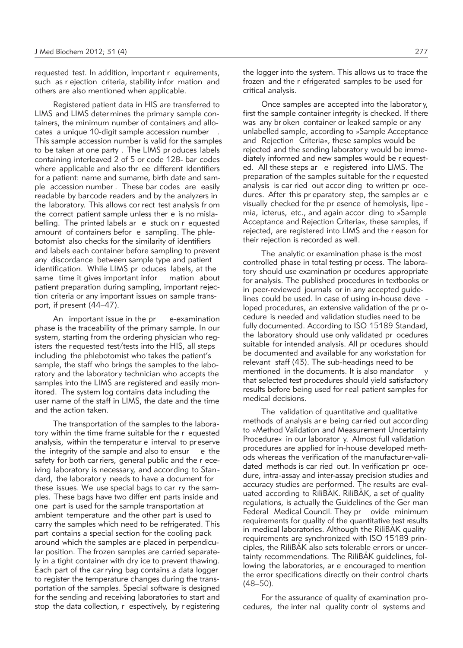requested test. In addition, important r equirements, such as r ejection criteria, stability infor mation and others are also mentioned when applicable.

Registered patient data in HIS are transferred to LIMS and LIMS deter mines the primary sample containers, the minimum number of containers and allocates a unique 10-digit sample accession number . This sample accession number is valid for the samples to be taken at one party . The LIMS pr oduces labels containing interleaved 2 of 5 or code 128- bar codes where applicable and also thr ee different identifiers for a patient: name and sumame, birth date and sample accession number . These bar codes are easily readable by barcode readers and by the analyzers in the laboratory. This allows cor rect test analysis fr om the correct patient sample unless ther e is no mislabelling. The printed labels ar e stuck on r equested amount of containers befor e sampling. The phlebotomist also checks for the similarity of identifiers and labels each container before sampling to prevent any discordance between sample type and patient identification. While LIMS pr oduces labels, at the same time it gives important infor mation about patient preparation during sampling, important rejection criteria or any important issues on sample transport, if present (44–47).

An important issue in the pr e-examination phase is the traceability of the primary sample. In our system, starting from the ordering physician who registers the requested test/tests into the HIS, all steps including the phlebotomist who takes the patient's sample, the staff who brings the samples to the laboratory and the laboratory technician who accepts the samples into the LIMS are registered and easily monitored. The system log contains data including the user name of the staff in LIMS, the date and the time and the action taken.

The transportation of the samples to the laboratory within the time frame suitable for the r equested analysis, within the temperatur e interval to pr eserve the integrity of the sample and also to ensur e the safety for both car riers, general public and the r eceiving laboratory is necessary, and according to Standard, the laborator y needs to have a document for these issues. We use special bags to car ry the samples. These bags have two differ ent parts inside and one part is used for the sample transportation at ambient temperature and the other part is used to carry the samples which need to be refrigerated. This part contains a special section for the cooling pack around which the samples ar e placed in perpendicular position. The frozen samples are carried separately in a tight container with dry ice to prevent thawing. Each part of the car rying bag contains a data logger to register the temperature changes during the transportation of the samples. Special software is designed for the sending and receiving laboratories to start and stop the data collection, r espectively, by r egistering

the logger into the system. This allows us to trace the frozen and the r efrigerated samples to be used for critical analysis.

Once samples are accepted into the laborator y, first the sample container integrity is checked. If there was any br oken container or leaked sample or any unlabelled sample, according to »Sample Acceptance and Rejection Criteria«, these samples would be rejected and the sending laborator y would be immediately informed and new samples would be r equested. All these steps ar e registered into LIMS. The preparation of the samples suitable for the r equested analysis is car ried out accor ding to written pr ocedures. After this pr eparatory step, the samples ar e visually checked for the pr esence of hemolysis, lipe mia, icterus, etc., and again accor ding to »Sample Acceptance and Rejection Criteria«, these samples, if rejected, are registered into LIMS and the r eason for their rejection is recorded as well.

The analytic or examination phase is the most controlled phase in total testing pr ocess. The laboratory should use examination pr ocedures appropriate for analysis. The published procedures in textbooks or in peer-reviewed journals or in any accepted guidelines could be used. In case of using in-house deve loped procedures, an extensive validation of the pr ocedure is needed and validation studies need to be fully documented. According to ISO 15189 Standard, the laboratory should use only validated pr ocedures suitable for intended analysis. All pr ocedures should be documented and available for any workstation for relevant staff (43). The sub-headings need to be mentioned in the documents. It is also mandator that selected test procedures should yield satisfactory results before being used for real patient samples for medical decisions.

The validation of quantitative and qualitative methods of analysis ar e being carried out according to »Method Validation and Measurement Uncertainty Procedure« in our laborator y. Almost full validation procedures are applied for in-house developed methods whereas the verification of the manufacturer-validated methods is car ried out. In verification pr ocedure, intra-assay and inter-assay precision studies and accuracy studies are performed. The results are evaluated according to RiliBÄK. RiliBÄK, a set of quality regulations, is actually the Guidelines of the Ger man Federal Medical Council. They pr ovide minimum requirements for quality of the quantitative test results in medical laboratories. Although the RiliBÄK quality requirements are synchronized with ISO 15189 principles, the RiliBÄK also sets tolerable errors or uncertainty recommendations. The RiliBÄK guidelines, following the laboratories, ar e encouraged to mention the error specifications directly on their control charts (48–50).

For the assurance of quality of examination procedures, the inter nal quality contr ol systems and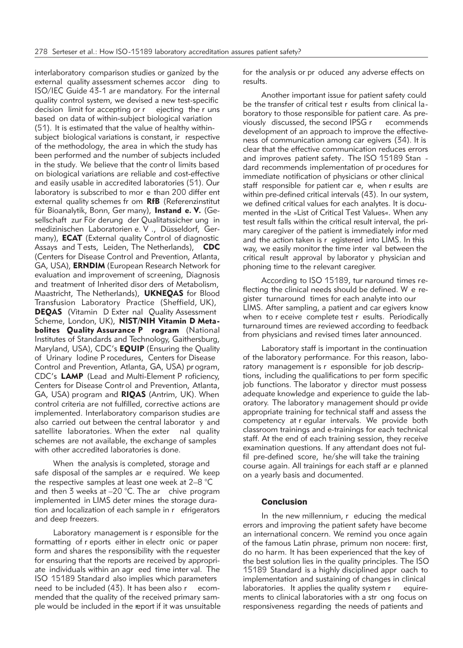interlaboratory comparison studies or ganized by the external quality assessment schemes accor ding to ISO/IEC Guide 43-1 ar e mandatory. For the internal quality control system, we devised a new test-specific decision limit for accepting or r ejecting the r uns based on data of within-subject biological variation (51). It is estimated that the value of healthy withinsubject biological variations is constant, ir respective of the methodology, the area in which the study has been performed and the number of subjects included in the study. We believe that the contr ol limits based on biological variations are reliable and cost-effective and easily usable in accredited laboratories (51). Our laboratory is subscribed to mor e than 200 differ ent external quality schemes fr om **RfB** (Referenzinstitut für Bioanalytik, Bonn, Ger many), Instand e. V. (Gesellschaft zur För derung der Qualitatssicher ung in medizinischen Laboratorien e. V ., Düsseldorf, Ger many), **ECAT** (External quality Control of diagnostic Assays and Tests, Leiden, The Netherlands), **CDC** (Centers for Disease Control and Prevention, Atlanta, GA, USA), **ERNDIM** (European Research Network for evaluation and improvement of screening, Diagnosis and treatment of Inherited disor ders of Metabolism, Maastricht, The Netherlands), **UKNEQAS** for Blood Transfusion Laboratory Practice (Sheffield, UK), **DEQAS** (Vitamin D Exter nal Quality Assessment Scheme, London, UK), **NIST/NIH Vitamin D Meta bolites Quality Assurance P rogram** (National Institutes of Standards and Technology, Gaithersburg, Maryland, USA), CDC's **EQUIP** (Ensuring the Quality of Urinary Iodine P rocedures, Centers for Disease Control and Prevention, Atlanta, GA, USA) pr ogram, CDC's **LAMP** (Lead and Multi-Element P roficiency, Centers for Disease Contr ol and Prevention, Atlanta, GA, USA) program and **RIQAS** (Antrim, UK). When control criteria are not fulfilled, corrective actions are implemented. Interlaboratory comparison studies are also carried out between the central laborator y and satellite laboratories. When the exter nal quality schemes are not available, the exchange of samples with other accredited laboratories is done.

When the analysis is completed, storage and safe disposal of the samples ar e required. We keep the respective samples at least one week at 2–8 °C and then 3 weeks at  $-20$  °C. The ar chive program implemented in LIMS deter mines the storage duration and localization of each sample in r efrigerators and deep freezers.

Laboratory management is r esponsible for the formatting of r eports either in electr onic or paper form and shares the responsibility with the r equester for ensuring that the reports are received by appropriate individuals within an agr eed time inter val. The ISO 15189 Standard also implies which parameters need to be included (43). It has been also r ecommended that the quality of the received primary sample would be included in the report if it was unsuitable for the analysis or pr oduced any adverse effects on results.

Another important issue for patient safety could be the transfer of critical test r esults from clinical la boratory to those responsible for patient care. As previously discussed, the second IPSG r ecommends development of an approach to improve the effectiveness of communication among car egivers (34). It is clear that the effective communication reduces errors and improves patient safety. The ISO 15189 Stan dard recommends implementation of pr ocedures for immediate notification of physicians or other clinical staff responsible for patient car e, when r esults are within pre-defined critical intervals (43). In our system, we defined critical values for each analytes. It is documented in the »List of Critical Test Values«. When any test result falls within the critical result interval, the primary caregiver of the patient is immediately infor med and the action taken is r egistered into LIMS. In this way, we easily monitor the time inter val between the critical result approval by laborator y physician and phoning time to the relevant caregiver.

According to ISO 15189, tur naround times reflecting the clinical needs should be defined. W e register turnaround times for each analyte into our LIMS. After sampling, a patient and car egivers know when to r eceive complete test r esults. Periodically turnaround times are reviewed according to feedback from physicians and revised times later announced.

Laboratory staff is important in the continuation of the laboratory performance. For this reason, laboratory management is r esponsible for job descriptions, including the qualifications to per form specific job functions. The laborator y director must possess adequate knowledge and experience to guide the laboratory. The laborator y management should pr ovide appropriate training for technical staff and assess the competency at r egular intervals. We provide both classroom trainings and e-trainings for each technical staff. At the end of each training session, they receive examination questions. If any attendant does not fulfil pre-defined score, he/she will take the training course again. All trainings for each staff ar e planned on a yearly basis and documented.

## Conclusion

In the new millennium, r educing the medical errors and improving the patient safety have become an international concern. We remind you once again of the famous Latin phrase, primum non nocere: first, do no harm. It has been experienced that the key of the best solution lies in the quality principles. The ISO 15189 Standard is a highly disciplined appr oach to implementation and sustaining of changes in clinical laboratories. It applies the quality system r equirements to clinical laboratories with a str ong focus on responsiveness regarding the needs of patients and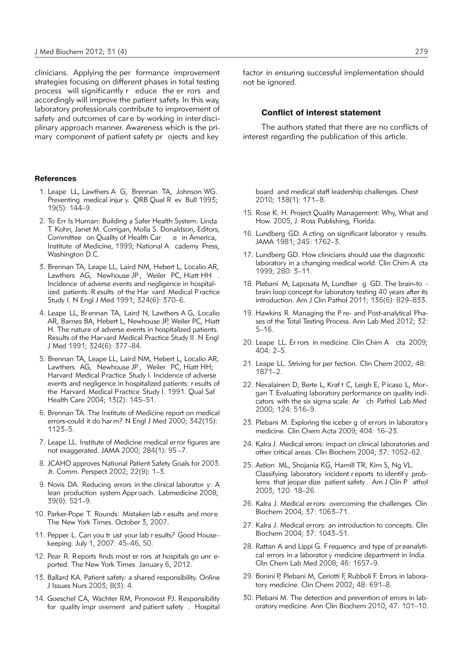clinicians. Applying the per formance improvement strategies focusing on different phases in total testing process will significantly r educe the er rors and accordingly will improve the patient safety. In this way, laboratory professionals contribute to improvement of safety and outcomes of care by working in interdisciplinary approach manner. Awareness which is the primary component of patient safety pr ojects and key

#### **References**

- 1. Leape LL, Lawthers A G, Brennan TA, Johnson WG. Preventing medical injur y. QRB Qual R ev Bull 1993; 19(5): 144–9.
- 2. To Err Is Human: Building a Safer Health System. Linda T. Kohn, Janet M. Corrigan, Molla S. Donaldson, Editors; Committee on Quality of Health Car e in America, Institute of Medicine, 1999; National A cademy Press, Washington D.C.
- 3. Brennan TA, Leape LL, Laird NM, Hebert L, Localio AR, Lawthers AG, Newhouse JP, Weiler PC, Hiatt HH Incidence of adverse events and negligence in hospitalized patients. R esults of the Har vard Medical P ractice Study I. N Engl J Med 1991; 324(6): 370–6.
- 4. Leape LL, Br ennan TA, Laird N, Lawthers A G, Localio AR, Barnes BA, Hebert L, Newhouse JP, Weiler PC, Hiatt H. The nature of adverse events in hospitalized patients. Results of the Harvard Medical Practice Study II. N Engl J Med 1991; 324(6): 377–84.
- 5. Brennan TA, Leape LL, Laird NM, Hebert L, Localio AR, Lawthers AG, Newhouse JP , Weiler PC, Hiatt HH; Harvard Medical Practice Study I. Incidence of adverse events and negligence in hospitalized patients: r esults of the Harvard Medical Practice Study I. 1991. Qual Saf Health Care 2004; 13(2): 145–51.
- 6. Brennan TA. The Institute of Medicine report on medical errors-could it do harm? N Engl J Med 2000; 342(15): 1123–5.
- 7. Leape LL. Institute of Medicine medical error figures are not exaggerated. JAMA 2000; 284(1): 95 –7.
- 8. JCAHO approves National Patient Safety Goals for 2003. Jt. Comm. Perspect 2002; 22(9): 1–3.
- 9. Novis DA. Reducing errors in the clinical laborator y: A lean production system Appr oach. Labmedicine 2008; 39(9): 521–9.
- 10. Parker-Pope T. Rounds: Mistaken lab r esults and more. The New York Times. October 3, 2007.
- 11. Pepper L. Can you tr ust your lab r esults? Good House keeping. July 1, 2007: 45–46, 50.
- 12. Pear R. Reports finds most er rors at hospitals go unr eported. The New York Times. January 6, 2012.
- 13. Ballard KA. Patient safety: a shared responsibility. Online J Issues Nurs 2003; 8(3): 4.
- 14. Goeschel CA, Wachter RM, Pronovost PJ. Responsibility for quality impr ovement and patient safety . Hospital

factor in ensuring successful implementation should not be ignored.

#### Conflict of interest statement

The authors stated that there are no conflicts of interest regarding the publication of this article.

board and medical staff leadership challenges. Chest 2010; 138(1): 171–8.

- 15. Rose K. H. Project Quality Management: Why, What and How. 2005, J. Ross Publishing, Florida.
- 16. Lundberg GD. A cting on significant laborator y results. JAMA 1981; 245: 1762–3.
- 17. Lundberg GD. How clinicians should use the diagnostic laboratory in a changing medical world. Clin Chim A cta 1999; 280: 3–11.
- 18. Plebani M, Laposata M, Lundber g GD. The brain-to brain loop concept for laboratory testing 40 years after its introduction. Am J Clin Pathol 2011; 136(6): 829–833.
- 19. Hawkins R. Managing the P re- and Post-analytical Phases of the Total Testing Process. Ann Lab Med 2012; 32: 5–16.
- 20. Leape LL. Er rors in medicine. Clin Chim A cta 2009; 404: 2–5.
- 21. Leape LL. Striving for per fection. Clin Chem 2002; 48: 1871–2.
- 22. Nevalainen D, Berte L, Kraf t C, Leigh E, Picaso L, Morgan T. Evaluating laboratory performance on quality indicators with the six sigma scale. Ar ch Pathol Lab Med 2000; 124: 516–9.
- 23. Plebani M. Exploring the iceber g of errors in laborator y medicine. Clin Chem Acta 2009; 404: 16–23.
- 24. Kalra J. Medical errors: impact on clinical laboratories and other critical areas. Clin Biochem 2004; 37: 1052–62.
- 25. Astion ML, Shojania KG, Hamill TR, Kim S, Ng VL. Classifying laboratory incident r eports to identif y problems that jeopar dize patient safety . Am J Clin P athol 2003; 120: 18–26.
- 26. Kalra J. Medical errors: overcoming the challenges. Clin Biochem 2004; 37: 1063–71.
- 27. Kalra J. Medical errors: an introduction to concepts. Clin Biochem 2004; 37: 1043–51.
- 28. Rattan A and Lippi G. Frequency and type of pr eanalytical errors in a laborator y medicine department in India. Clin Chem Lab Med 2008; 46: 1657–9.
- 29. Bonini P, Plebani M, Ceriotti F, Rubboli F. Errors in laboratory medicine. Clin Chem 2002; 48: 691–8.
- 30. Plebani M. The detection and prevention of errors in laboratory medicine. Ann Clin Biochem 2010; 47: 101-10.